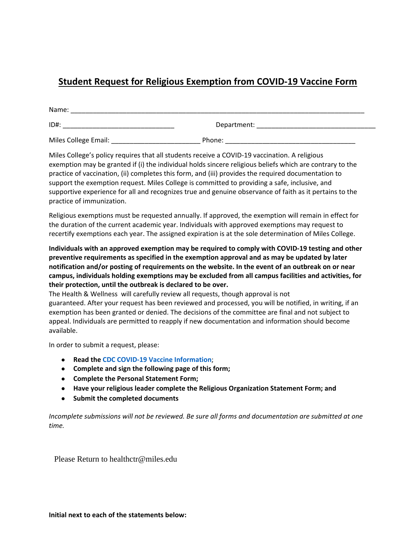## **Student Request for Religious Exemption from COVID-19 Vaccine Form**

| Name:                |             |  |  |  |  |
|----------------------|-------------|--|--|--|--|
| ID#:                 | Department: |  |  |  |  |
| Miles College Email: | Phone:      |  |  |  |  |

Miles College's policy requires that all students receive a COVID-19 vaccination. A religious exemption may be granted if (i) the individual holds sincere religious beliefs which are contrary to the practice of vaccination, (ii) completes this form, and (iii) provides the required documentation to support the exemption request. Miles College is committed to providing a safe, inclusive, and supportive experience for all and recognizes true and genuine observance of faith as it pertains to the practice of immunization.

Religious exemptions must be requested annually. If approved, the exemption will remain in effect for the duration of the current academic year. Individuals with approved exemptions may request to recertify exemptions each year. The assigned expiration is at the sole determination of Miles College.

**Individuals with an approved exemption may be required to comply with COVID-19 testing and other preventive requirements as specified in the exemption approval and as may be updated by later notification and/or posting of requirements on the website. In the event of an outbreak on or near campus, individuals holding exemptions may be excluded from all campus facilities and activities, for their protection, until the outbreak is declared to be over.** 

The Health & Wellness will carefully review all requests, though approval is not guaranteed. After your request has been reviewed and processed, you will be notified, in writing, if an exemption has been granted or denied. The decisions of the committee are final and not subject to appeal. Individuals are permitted to reapply if new documentation and information should become available.

In order to submit a request, please:

- **Read the CDC COVID-19 Vaccine Information**;
- **Complete and sign the following page of this form;**
- **Complete the Personal Statement Form;**
- **Have your religious leader complete the Religious Organization Statement Form; and**
- **Submit the completed documents**

*Incomplete submissions will not be reviewed. Be sure all forms and documentation are submitted at one time.*

Please Return to healthctr@miles.edu

**Initial next to each of the statements below:**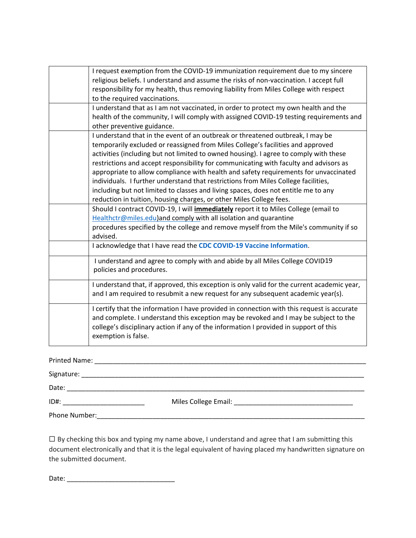| I request exemption from the COVID-19 immunization requirement due to my sincere<br>religious beliefs. I understand and assume the risks of non-vaccination. I accept full<br>responsibility for my health, thus removing liability from Miles College with respect<br>to the required vaccinations.                                                                                                                                                                                                                                                                                                                                                                                           |
|------------------------------------------------------------------------------------------------------------------------------------------------------------------------------------------------------------------------------------------------------------------------------------------------------------------------------------------------------------------------------------------------------------------------------------------------------------------------------------------------------------------------------------------------------------------------------------------------------------------------------------------------------------------------------------------------|
| I understand that as I am not vaccinated, in order to protect my own health and the<br>health of the community, I will comply with assigned COVID-19 testing requirements and<br>other preventive guidance.                                                                                                                                                                                                                                                                                                                                                                                                                                                                                    |
| I understand that in the event of an outbreak or threatened outbreak, I may be<br>temporarily excluded or reassigned from Miles College's facilities and approved<br>activities (including but not limited to owned housing). I agree to comply with these<br>restrictions and accept responsibility for communicating with faculty and advisors as<br>appropriate to allow compliance with health and safety requirements for unvaccinated<br>individuals. I further understand that restrictions from Miles College facilities,<br>including but not limited to classes and living spaces, does not entitle me to any<br>reduction in tuition, housing charges, or other Miles College fees. |
| Should I contract COVID-19, I will <i>immediately</i> report it to Miles College (email to<br>Healthctr@miles.edu)and comply with all isolation and quarantine<br>procedures specified by the college and remove myself from the Mile's community if so<br>advised.                                                                                                                                                                                                                                                                                                                                                                                                                            |
| I acknowledge that I have read the CDC COVID-19 Vaccine Information.                                                                                                                                                                                                                                                                                                                                                                                                                                                                                                                                                                                                                           |
| I understand and agree to comply with and abide by all Miles College COVID19<br>policies and procedures.                                                                                                                                                                                                                                                                                                                                                                                                                                                                                                                                                                                       |
| I understand that, if approved, this exception is only valid for the current academic year,<br>and I am required to resubmit a new request for any subsequent academic year(s).                                                                                                                                                                                                                                                                                                                                                                                                                                                                                                                |
| I certify that the information I have provided in connection with this request is accurate<br>and complete. I understand this exception may be revoked and I may be subject to the<br>college's disciplinary action if any of the information I provided in support of this<br>exemption is false.                                                                                                                                                                                                                                                                                                                                                                                             |
|                                                                                                                                                                                                                                                                                                                                                                                                                                                                                                                                                                                                                                                                                                |

| Date:         |                                |
|---------------|--------------------------------|
|               | ID#: _________________________ |
| Phone Number: |                                |

☐ By checking this box and typing my name above, I understand and agree that I am submitting this document electronically and that it is the legal equivalent of having placed my handwritten signature on the submitted document.

Date: \_\_\_\_\_\_\_\_\_\_\_\_\_\_\_\_\_\_\_\_\_\_\_\_\_\_\_\_\_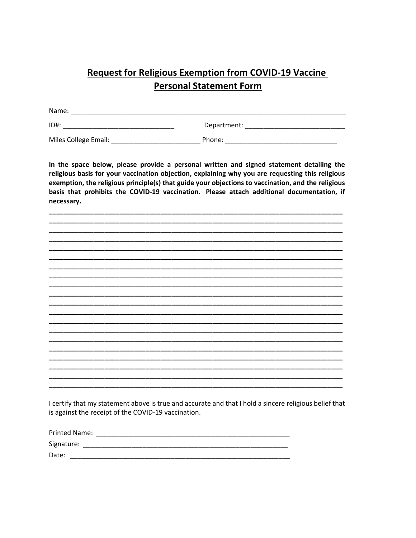## **Request for Religious Exemption from COVID-19 Vaccine Personal Statement Form**

| Name:                |             |  |  |  |
|----------------------|-------------|--|--|--|
| $ID#$ :              | Department: |  |  |  |
| Miles College Email: | Phone:      |  |  |  |

In the space below, please provide a personal written and signed statement detailing the religious basis for your vaccination objection, explaining why you are requesting this religious exemption, the religious principle(s) that guide your objections to vaccination, and the religious basis that prohibits the COVID-19 vaccination. Please attach additional documentation, if necessary.

I certify that my statement above is true and accurate and that I hold a sincere religious belief that is against the receipt of the COVID-19 vaccination.

| Printed Name: |  |
|---------------|--|
| Signature:    |  |
| Date:         |  |